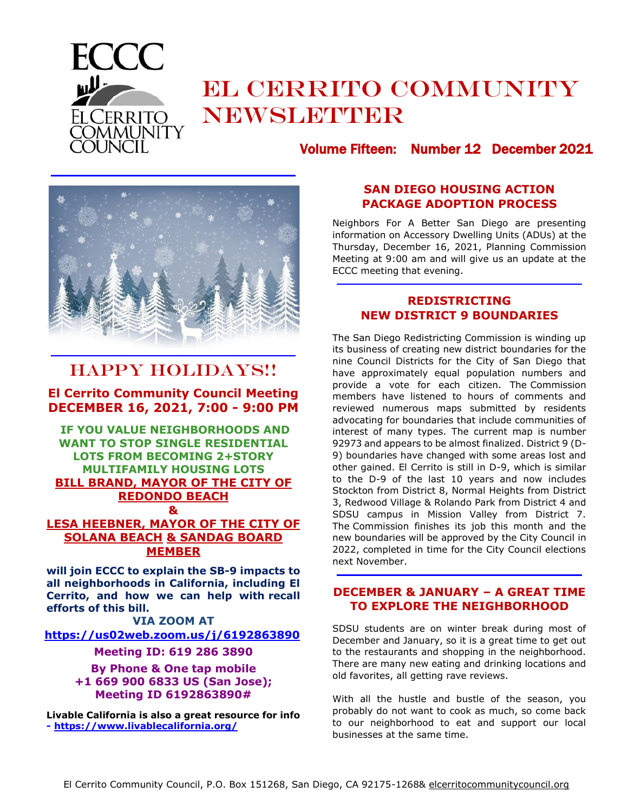

# EL CERRITO COMMUNITY NEWSLETTER

# Volume Fifteen: Number 12 December 2021



# HAPPY HOLIDAYS!!

### **El Cerrito Community Council Meeting DECEMBER 16, 2021, 7:00 - 9:00 PM**

**IF YOU VALUE NEIGHBORHOODS AND WANT TO STOP SINGLE RESIDENTIAL LOTS FROM BECOMING 2+STORY MULTIFAMILY HOUSING LOTS BILL BRAND, MAYOR OF THE CITY OF REDONDO BEACH & LESA HEEBNER, MAYOR OF THE CITY OF SOLANA BEACH & SANDAG BOARD** 

## **MEMBER**

**will join ECCC to explain the SB-9 impacts to all neighborhoods in California, including El Cerrito, and how we can help with recall efforts of this bill.**

#### **VIA ZOOM AT**

**<https://us02web.zoom.us/j/6192863890>**

#### **Meeting ID: 619 286 3890**

**By Phone & One tap mobile +1 669 900 6833 US (San Jose); Meeting ID 6192863890#**

**Livable California is also a great resource for inf[o](https://www.livablecalifornia.org/) - <https://www.livablecalifornia.org/>**

#### **SAN DIEGO HOUSING ACTION PACKAGE ADOPTION PROCESS**

Neighbors For A Better San Diego are presenting information on Accessory Dwelling Units (ADUs) at the Thursday, December 16, 2021, Planning Commission Meeting at 9:00 am and will give us an update at the ECCC meeting that evening.

### **REDISTRICTING NEW DISTRICT 9 BOUNDARIES**

**\_\_\_\_\_\_\_\_\_\_\_\_\_\_\_\_\_\_\_\_\_\_\_\_\_\_\_\_\_\_\_\_\_\_\_\_\_\_\_\_\_\_\_\_\_\_\_\_**

The San Diego Redistricting Commission is winding up its business of creating new district boundaries for the nine Council Districts for the City of San Diego that have approximately equal population numbers and provide a vote for each citizen. The Commission members have listened to hours of comments and reviewed numerous maps submitted by residents advocating for boundaries that include communities of interest of many types. The current map is number 92973 and appears to be almost finalized. District 9 (D-9) boundaries have changed with some areas lost and other gained. El Cerrito is still in D-9, which is similar to the D-9 of the last 10 years and now includes Stockton from District 8, Normal Heights from District 3, Redwood Village & Rolando Park from District 4 and SDSU campus in Mission Valley from District 7. The Commission finishes its job this month and the new boundaries will be approved by the City Council in 2022, completed in time for the City Council elections next November.

### **DECEMBER & JANUARY – A GREAT TIME TO EXPLORE THE NEIGHBORHOOD**

**\_\_\_\_\_\_\_\_\_\_\_\_\_\_\_\_\_\_\_\_\_\_\_\_\_\_\_\_\_\_\_\_\_\_\_\_\_\_\_\_\_\_\_\_\_\_\_\_**

SDSU students are on winter break during most of December and January, so it is a great time to get out to the restaurants and shopping in the neighborhood. There are many new eating and drinking locations and old favorites, all getting rave reviews.

With all the hustle and bustle of the season, you probably do not want to cook as much, so come back to our neighborhood to eat and support our local businesses at the same time.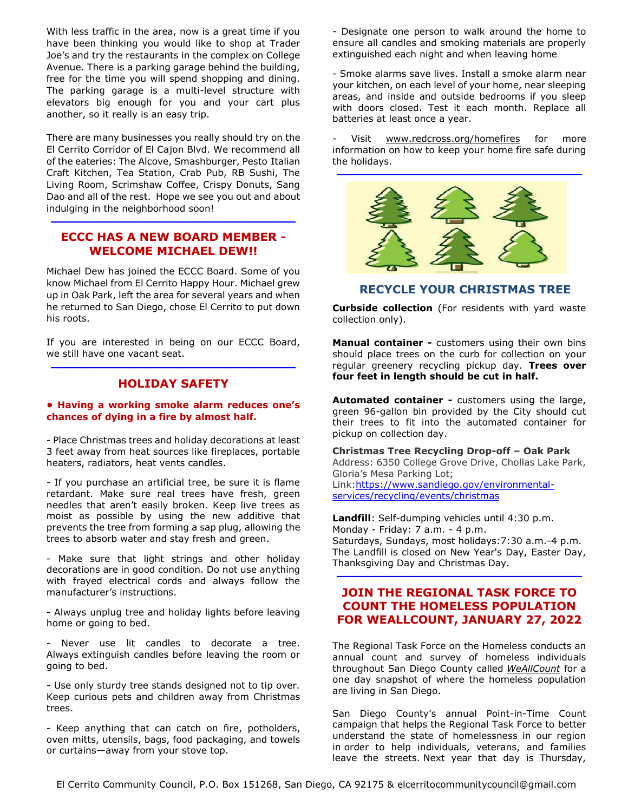With less traffic in the area, now is a great time if you have been thinking you would like to shop at Trader Joe's and try the restaurants in the complex on College Avenue. There is a parking garage behind the building, free for the time you will spend shopping and dining. The parking garage is a multi-level structure with elevators big enough for you and your cart plus another, so it really is an easy trip.

There are many businesses you really should try on the El Cerrito Corridor of El Cajon Blvd. We recommend all of the eateries: The Alcove, Smashburger, Pesto Italian Craft Kitchen, Tea Station, Crab Pub, RB Sushi, The Living Room, Scrimshaw Coffee, Crispy Donuts, Sang Dao and all of the rest. Hope we see you out and about indulging in the neighborhood soon!

### **ECCC HAS A NEW BOARD MEMBER - WELCOME MICHAEL DEW!!**

**\_\_\_\_\_\_\_\_\_\_\_\_\_\_\_\_\_\_\_\_\_\_\_\_\_\_\_\_\_\_\_\_\_\_\_\_\_\_\_\_\_\_\_\_\_\_\_\_**

Michael Dew has joined the ECCC Board. Some of you know Michael from El Cerrito Happy Hour. Michael grew up in Oak Park, left the area for several years and when he returned to San Diego, chose El Cerrito to put down his roots.

If you are interested in being on our ECCC Board, we still have one vacant seat. **\_\_\_\_\_\_\_\_\_\_\_\_\_\_\_\_\_\_\_\_\_\_\_\_\_\_\_\_\_\_\_\_\_\_\_\_\_\_\_\_\_\_\_\_\_\_\_\_**

#### **HOLIDAY SAFETY**

#### **• Having a working smoke alarm reduces one's chances of dying in a fire by almost half.**

- Place Christmas trees and holiday decorations at least 3 feet away from heat sources like fireplaces, portable heaters, radiators, heat vents candles.

- If you purchase an artificial tree, be sure it is flame retardant. Make sure real trees have fresh, green needles that aren't easily broken. Keep live trees as moist as possible by using the new additive that prevents the tree from forming a sap plug, allowing the trees to absorb water and stay fresh and green.

- Make sure that light strings and other holiday decorations are in good condition. Do not use anything with frayed electrical cords and always follow the manufacturer's instructions.

- Always unplug tree and holiday lights before leaving home or going to bed.

Never use lit candles to decorate a tree. Always extinguish candles before leaving the room or going to bed.

- Use only sturdy tree stands designed not to tip over. Keep curious pets and children away from Christmas trees.

- Keep anything that can catch on fire, potholders, oven mitts, utensils, bags, food packaging, and towels or curtains—away from your stove top.

- Designate one person to walk around the home to ensure all candles and smoking materials are properly extinguished each night and when leaving home

- Smoke alarms save lives. Install a smoke alarm near your kitchen, on each level of your home, near sleeping areas, and inside and outside bedrooms if you sleep with doors closed. Test it each month. Replace all batteries at least once a year.

Visit [www.redcross.org/homefires](http://www.redcross.org/homefires) for more information on how to keep your home fire safe during the holidays.



#### **RECYCLE YOUR CHRISTMAS TREE**

**Curbside collection** (For residents with yard waste collection only).

**Manual container -** customers using their own bins should place trees on the curb for collection on your regular greenery recycling pickup day. **Trees over four feet in length should be cut in half.**

**Automated container -** customers using the large, green 96-gallon bin provided by the City should cut their trees to fit into the automated container for pickup on collection day.

**Christmas Tree Recycling Drop-off – Oak Park** Address: 6350 College Grove Drive, Chollas Lake Park, Gloria's Mesa Parking Lot; Link[:https://www.sandiego.gov/environmental-](https://www.sandiego.gov/environmental-services/recycling/events/christmas)

[services/recycling/events/christmas](https://www.sandiego.gov/environmental-services/recycling/events/christmas)

**Landfill**: Self-dumping vehicles until 4:30 p.m. Monday - Friday: 7 a.m. - 4 p.m. Saturdays, Sundays, most holidays:7:30 a.m.-4 p.m. The Landfill is closed on New Year's Day, Easter Day, Thanksgiving Day and Christmas Day.

**\_\_\_\_\_\_\_\_\_\_\_\_\_\_\_\_\_\_\_\_\_\_\_\_\_\_\_\_\_\_\_\_\_\_\_\_\_\_\_\_\_\_\_\_\_\_\_\_**

### **JOIN THE REGIONAL TASK FORCE TO COUNT THE HOMELESS POPULATION FOR WEALLCOUNT, JANUARY 27, 2022**

The Regional Task Force on the Homeless conducts an annual count and survey of homeless individuals throughout San Diego County called *[WeAllCount](https://www.facebook.com/events/105739766570876/)* for a [one day snapshot of where the homeless population](https://www.facebook.com/events/105739766570876/) [are living in San Diego.](https://www.facebook.com/events/105739766570876/)

San Diego County's annual Point-in-Time Count campaign that helps the Regional Task Force to better understand the state of homelessness in our region in order to help individuals, veterans, and families leave the streets. Next year that day is Thursday,